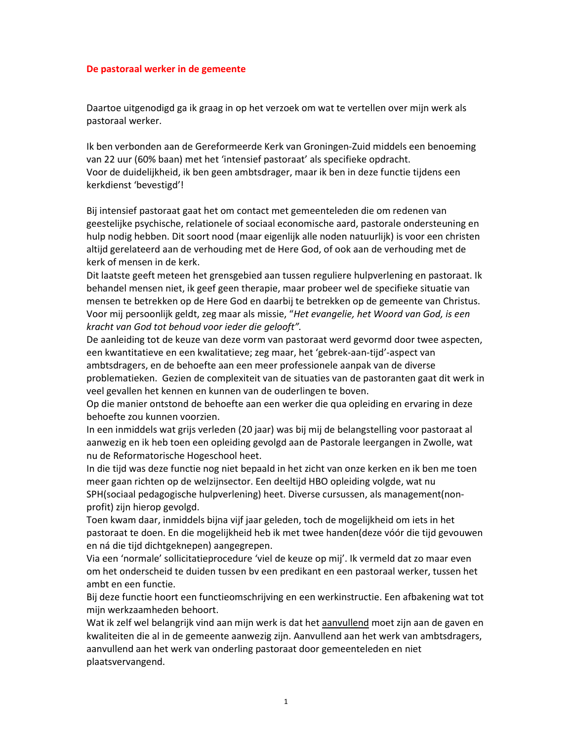## De pastoraal werker in de gemeente

Daartoe uitgenodigd ga ik graag in op het verzoek om wat te vertellen over mijn werk als pastoraal werker.

Ik ben verbonden aan de Gereformeerde Kerk van Groningen-Zuid middels een benoeming van 22 uur (60% baan) met het 'intensief pastoraat' als specifieke opdracht. Voor de duidelijkheid, ik ben geen ambtsdrager, maar ik ben in deze functie tijdens een kerkdienst 'bevestigd'!

Bij intensief pastoraat gaat het om contact met gemeenteleden die om redenen van geestelijke psychische, relationele of sociaal economische aard, pastorale ondersteuning en hulp nodig hebben. Dit soort nood (maar eigenlijk alle noden natuurlijk) is voor een christen altijd gerelateerd aan de verhouding met de Here God, of ook aan de verhouding met de kerk of mensen in de kerk.

Dit laatste geeft meteen het grensgebied aan tussen reguliere hulpverlening en pastoraat. Ik behandel mensen niet, ik geef geen therapie, maar probeer wel de specifieke situatie van mensen te betrekken op de Here God en daarbij te betrekken op de gemeente van Christus. Voor mij persoonlijk geldt, zeg maar als missie, "Het evangelie, het Woord van God, is een kracht van God tot behoud voor ieder die gelooft".

De aanleiding tot de keuze van deze vorm van pastoraat werd gevormd door twee aspecten, een kwantitatieve en een kwalitatieve; zeg maar, het 'gebrek-aan-tijd'-aspect van ambtsdragers, en de behoefte aan een meer professionele aanpak van de diverse problematieken. Gezien de complexiteit van de situaties van de pastoranten gaat dit werk in veel gevallen het kennen en kunnen van de ouderlingen te boven.

Op die manier ontstond de behoefte aan een werker die qua opleiding en ervaring in deze behoefte zou kunnen voorzien.

In een inmiddels wat grijs verleden (20 jaar) was bij mij de belangstelling voor pastoraat al aanwezig en ik heb toen een opleiding gevolgd aan de Pastorale leergangen in Zwolle, wat nu de Reformatorische Hogeschool heet.

In die tijd was deze functie nog niet bepaald in het zicht van onze kerken en ik ben me toen meer gaan richten op de welzijnsector. Een deeltijd HBO opleiding volgde, wat nu SPH(sociaal pedagogische hulpverlening) heet. Diverse cursussen, als management(nonprofit) zijn hierop gevolgd.

Toen kwam daar, inmiddels bijna vijf jaar geleden, toch de mogelijkheid om iets in het pastoraat te doen. En die mogelijkheid heb ik met twee handen(deze vóór die tijd gevouwen en ná die tijd dichtgeknepen) aangegrepen.

Via een 'normale' sollicitatieprocedure 'viel de keuze op mij'. Ik vermeld dat zo maar even om het onderscheid te duiden tussen bv een predikant en een pastoraal werker, tussen het ambt en een functie.

Bij deze functie hoort een functieomschrijving en een werkinstructie. Een afbakening wat tot mijn werkzaamheden behoort.

Wat ik zelf wel belangrijk vind aan mijn werk is dat het aanvullend moet zijn aan de gaven en kwaliteiten die al in de gemeente aanwezig zijn. Aanvullend aan het werk van ambtsdragers, aanvullend aan het werk van onderling pastoraat door gemeenteleden en niet plaatsvervangend.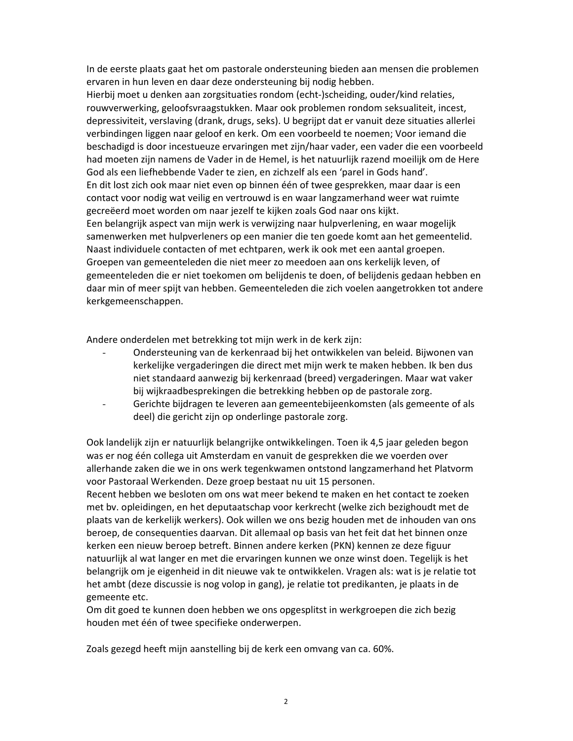In de eerste plaats gaat het om pastorale ondersteuning bieden aan mensen die problemen ervaren in hun leven en daar deze ondersteuning bij nodig hebben.

Hierbij moet u denken aan zorgsituaties rondom (echt-)scheiding, ouder/kind relaties, rouwverwerking, geloofsvraagstukken. Maar ook problemen rondom seksualiteit, incest, depressiviteit, verslaving (drank, drugs, seks). U begrijpt dat er vanuit deze situaties allerlei verbindingen liggen naar geloof en kerk. Om een voorbeeld te noemen; Voor iemand die beschadigd is door incestueuze ervaringen met zijn/haar vader, een vader die een voorbeeld had moeten zijn namens de Vader in de Hemel, is het natuurlijk razend moeilijk om de Here God als een liefhebbende Vader te zien, en zichzelf als een 'parel in Gods hand'. En dit lost zich ook maar niet even op binnen één of twee gesprekken, maar daar is een contact voor nodig wat veilig en vertrouwd is en waar langzamerhand weer wat ruimte gecreëerd moet worden om naar jezelf te kijken zoals God naar ons kijkt. Een belangrijk aspect van mijn werk is verwijzing naar hulpverlening, en waar mogelijk samenwerken met hulpverleners op een manier die ten goede komt aan het gemeentelid. Naast individuele contacten of met echtparen, werk ik ook met een aantal groepen. Groepen van gemeenteleden die niet meer zo meedoen aan ons kerkelijk leven, of gemeenteleden die er niet toekomen om belijdenis te doen, of belijdenis gedaan hebben en daar min of meer spijt van hebben. Gemeenteleden die zich voelen aangetrokken tot andere kerkgemeenschappen.

Andere onderdelen met betrekking tot mijn werk in de kerk zijn:

- Ondersteuning van de kerkenraad bij het ontwikkelen van beleid. Bijwonen van kerkelijke vergaderingen die direct met mijn werk te maken hebben. Ik ben dus niet standaard aanwezig bij kerkenraad (breed) vergaderingen. Maar wat vaker bij wijkraadbesprekingen die betrekking hebben op de pastorale zorg.
- Gerichte bijdragen te leveren aan gemeentebijeenkomsten (als gemeente of als  $\mathbf{r}$ deel) die gericht zijn op onderlinge pastorale zorg.

Ook landelijk zijn er natuurlijk belangrijke ontwikkelingen. Toen ik 4,5 jaar geleden begon was er nog één collega uit Amsterdam en vanuit de gesprekken die we voerden over allerhande zaken die we in ons werk tegenkwamen ontstond langzamerhand het Platvorm voor Pastoraal Werkenden. Deze groep bestaat nu uit 15 personen.

Recent hebben we besloten om ons wat meer bekend te maken en het contact te zoeken met by, opleidingen, en het deputaatschap voor kerkrecht (welke zich bezighoudt met de plaats van de kerkelijk werkers). Ook willen we ons bezig houden met de inhouden van ons beroep, de consequenties daarvan. Dit allemaal op basis van het feit dat het binnen onze kerken een nieuw beroep betreft. Binnen andere kerken (PKN) kennen ze deze figuur natuurlijk al wat langer en met die ervaringen kunnen we onze winst doen. Tegelijk is het belangrijk om je eigenheid in dit nieuwe vak te ontwikkelen. Vragen als: wat is je relatie tot het ambt (deze discussie is nog volop in gang), je relatie tot predikanten, je plaats in de gemeente etc.

Om dit goed te kunnen doen hebben we ons opgesplitst in werkgroepen die zich bezig houden met één of twee specifieke onderwerpen.

Zoals gezegd heeft mijn aanstelling bij de kerk een omvang van ca. 60%.